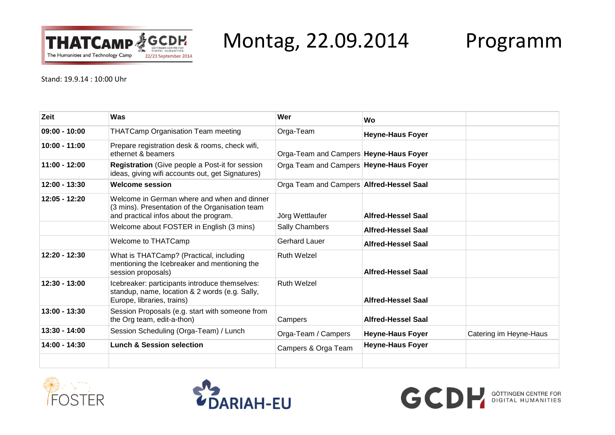

Montag, 22.09.2014 Programm

Stand: 19.9.14 : 10:00 Uhr

| Zeit            | Was                                                                                                                                      | Wer                                      | Wo                        |                        |
|-----------------|------------------------------------------------------------------------------------------------------------------------------------------|------------------------------------------|---------------------------|------------------------|
| $09:00 - 10:00$ | <b>THATCamp Organisation Team meeting</b>                                                                                                | Orga-Team                                | <b>Heyne-Haus Foyer</b>   |                        |
| $10:00 - 11:00$ | Prepare registration desk & rooms, check wifi,<br>ethernet & beamers                                                                     | Orga-Team and Campers Heyne-Haus Foyer   |                           |                        |
| $11:00 - 12:00$ | Registration (Give people a Post-it for session<br>ideas, giving wifi accounts out, get Signatures)                                      | Orga Team and Campers   Heyne-Haus Foyer |                           |                        |
| $12:00 - 13:30$ | Welcome session                                                                                                                          | Orga Team and Campers Alfred-Hessel Saal |                           |                        |
| $12:05 - 12:20$ | Welcome in German where and when and dinner<br>(3 mins). Presentation of the Organisation team<br>and practical infos about the program. | Jörg Wettlaufer                          | <b>Alfred-Hessel Saal</b> |                        |
|                 | Welcome about FOSTER in English (3 mins)                                                                                                 | Sally Chambers                           | <b>Alfred-Hessel Saal</b> |                        |
|                 | Welcome to THATCamp                                                                                                                      | Gerhard Lauer                            | <b>Alfred-Hessel Saal</b> |                        |
| $12:20 - 12:30$ | What is THATCamp? (Practical, including<br>mentioning the Icebreaker and mentioning the<br>session proposals)                            | Ruth Welzel                              | <b>Alfred-Hessel Saal</b> |                        |
| $12:30 - 13:00$ | Icebreaker: participants introduce themselves:<br>standup, name, location & 2 words (e.g. Sally,<br>Europe, libraries, trains)           | Ruth Welzel                              | <b>Alfred-Hessel Saal</b> |                        |
| $13:00 - 13:30$ | Session Proposals (e.g. start with someone from<br>the Org team, edit-a-thon)                                                            | Campers                                  | <b>Alfred-Hessel Saal</b> |                        |
| $13:30 - 14:00$ | Session Scheduling (Orga-Team) / Lunch                                                                                                   | Orga-Team / Campers                      | <b>Heyne-Haus Foyer</b>   | Catering im Heyne-Haus |
| 14:00 - 14:30   | <b>Lunch &amp; Session selection</b>                                                                                                     | Campers & Orga Team                      | <b>Heyne-Haus Foyer</b>   |                        |
|                 |                                                                                                                                          |                                          |                           |                        |





**GCD** BIGITAL HUMANITIES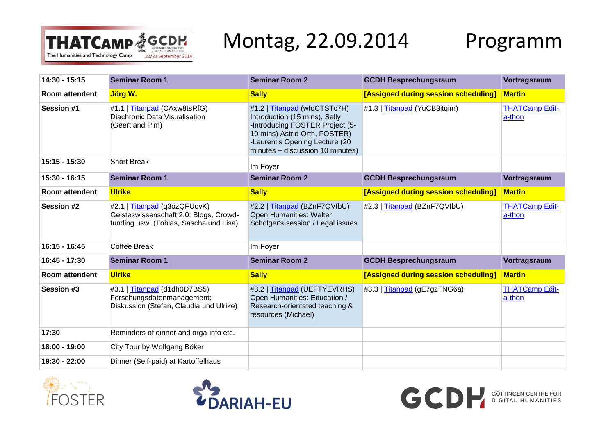

## Montag, 22.09.2014 Programm

**GCD** BIGITAL HUMANITIES

| 14:30 - 15:15         | <b>Seminar Room 1</b>                                                                                            | <b>Seminar Room 2</b>                                                                                                                                                                                   | <b>GCDH Besprechungsraum</b>         | Vortragsraum                    |
|-----------------------|------------------------------------------------------------------------------------------------------------------|---------------------------------------------------------------------------------------------------------------------------------------------------------------------------------------------------------|--------------------------------------|---------------------------------|
| Room attendent        | Jörg W.                                                                                                          | <b>Sally</b>                                                                                                                                                                                            | [Assigned during session scheduling] | <b>Martin</b>                   |
| <b>Session #1</b>     | #1.1   Titanpad (CAxw8tsRfG)<br>Diachronic Data Visualisation<br>(Geert and Pim)                                 | #1.2   Titanpad (wfoCTSTc7H)<br>Introduction (15 mins), Sally<br>-Introducing FOSTER Project (5-<br>10 mins) Astrid Orth, FOSTER)<br>-Laurent's Opening Lecture (20<br>minutes + discussion 10 minutes) | #1.3   Titanpad (YuCB3itqim)         | <b>THATCamp Edit-</b><br>a-thon |
| 15:15 - 15:30         | <b>Short Break</b>                                                                                               | Im Foyer                                                                                                                                                                                                |                                      |                                 |
| 15:30 - 16:15         | <b>Seminar Room 1</b>                                                                                            | <b>Seminar Room 2</b>                                                                                                                                                                                   | <b>GCDH Besprechungsraum</b>         | Vortragsraum                    |
| <b>Room attendent</b> | <b>Ulrike</b>                                                                                                    | <b>Sally</b>                                                                                                                                                                                            | [Assigned during session scheduling] | <b>Martin</b>                   |
| <b>Session #2</b>     | #2.1   Titanpad (q3ozQFUovK)<br>Geisteswissenschaft 2.0: Blogs, Crowd-<br>funding usw. (Tobias, Sascha und Lisa) | #2.2   Titanpad (BZnF7QVfbU)<br>Open Humanities: Walter<br>Scholger's session / Legal issues                                                                                                            | #2.3   Titanpad (BZnF7QVfbU)         | <b>THATCamp Edit-</b><br>a-thon |
| 16:15 - 16:45         | Coffee Break                                                                                                     | Im Foyer                                                                                                                                                                                                |                                      |                                 |
| 16:45 - 17:30         | <b>Seminar Room 1</b>                                                                                            | <b>Seminar Room 2</b>                                                                                                                                                                                   | <b>GCDH Besprechungsraum</b>         | Vortragsraum                    |
| <b>Room attendent</b> | <b>Ulrike</b>                                                                                                    | <b>Sally</b>                                                                                                                                                                                            | [Assigned during session scheduling] | <b>Martin</b>                   |
| Session #3            | #3.1   Titanpad (d1dh0D7BS5)<br>Forschungsdatenmanagement:<br>Diskussion (Stefan, Claudia und Ulrike)            | #3.2   Titanpad (UEFTYEVRHS)<br>Open Humanities: Education /<br>Research-orientated teaching &<br>resources (Michael)                                                                                   | #3.3   Titanpad (gE7gzTNG6a)         | <b>THATCamp Edit-</b><br>a-thon |
| 17:30                 | Reminders of dinner and orga-info etc.                                                                           |                                                                                                                                                                                                         |                                      |                                 |
| 18:00 - 19:00         | City Tour by Wolfgang Böker                                                                                      |                                                                                                                                                                                                         |                                      |                                 |
| 19:30 - 22:00         | Dinner (Self-paid) at Kartoffelhaus                                                                              |                                                                                                                                                                                                         |                                      |                                 |